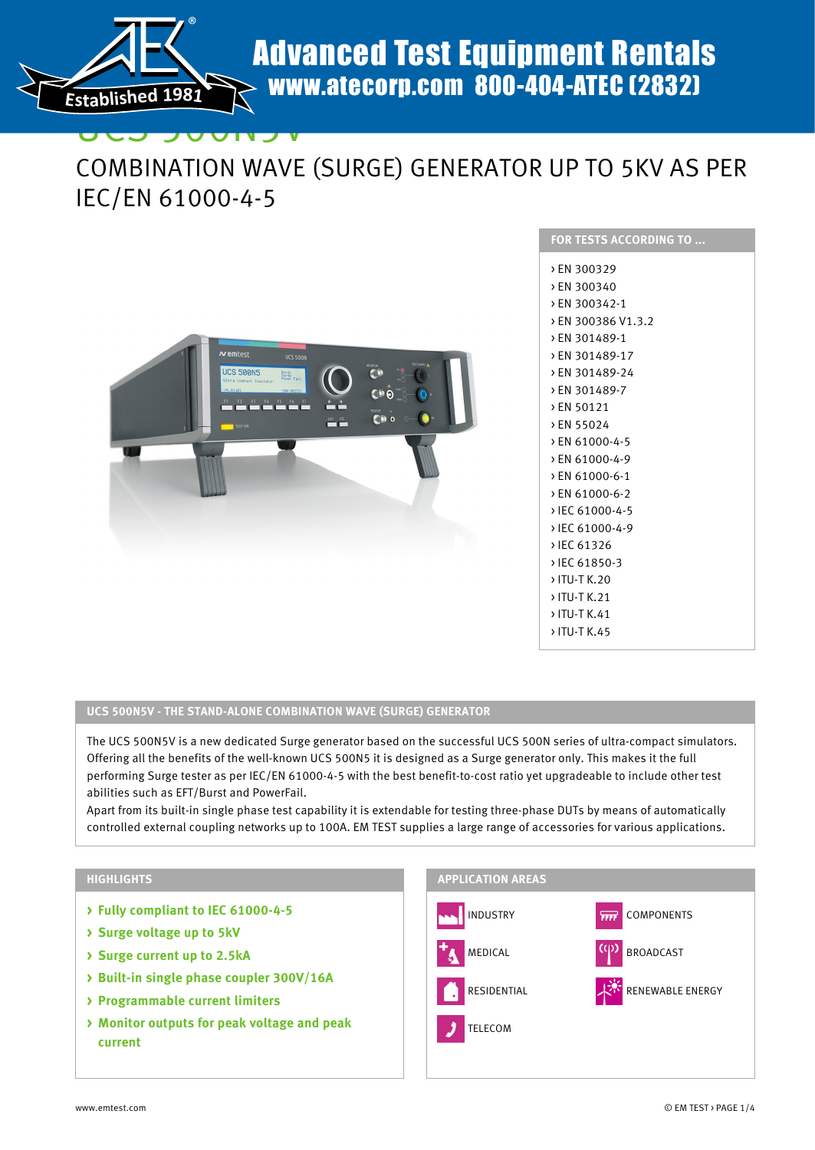

# UCS 500N5V COMBINATION WAVE (SURGE) GENERATOR UP TO 5KV AS PER IEC/EN 61000-4-5



| <u>FOR TESTS ACC</u> ORDING TO |
|--------------------------------|
| > EN 300329                    |
| > EN 300340                    |
| > EN 300342-1                  |
| > EN 300386 V1.3.2             |
| > EN 301489-1                  |
| > EN 301489-17                 |
| > EN 301489-24                 |
| > EN 301489-7                  |
| > EN 50121                     |
| > EN 55024                     |
| > EN 61000-4-5                 |
| > EN 61000-4-9                 |
| > EN 61000-6-1                 |
| > EN 61000-6-2                 |
| > IEC 61000-4-5                |
| > IEC 61000-4-9                |
| > IEC 61326                    |
| > IEC 61850-3                  |
| › ITU-T K.20                   |
| › ITU-T K.21                   |
| › ITU-T K.41                   |
| > ITU-T K.45                   |
|                                |

### **UCS 500N5V - THE STAND-ALONE COMBINATION WAVE (SURGE) GENERATOR**

The UCS 500N5V is a new dedicated Surge generator based on the successful UCS 500N series of ultra-compact simulators. Offering all the benefits of the well-known UCS 500N5 it is designed as a Surge generator only. This makes it the full performing Surge tester as per IEC/EN 61000-4-5 with the best benefit-to-cost ratio yet upgradeable to include other test abilities such as EFT/Burst and PowerFail.

Apart from its built-in single phase test capability it is extendable for testing three-phase DUTs by means of automatically controlled external coupling networks up to 100A. EM TEST supplies a large range of accessories for various applications.

#### **HIGHLIGHTS**

- **> Fully compliant to IEC 61000-4-5**
- **> Surge voltage up to 5kV**
- **> Surge current up to 2.5kA**
- **> Built-in single phase coupler 300V/16A**
- **> Programmable current limiters**
- **> Monitor outputs for peak voltage and peak current**

## **APPLICATION AREAS**

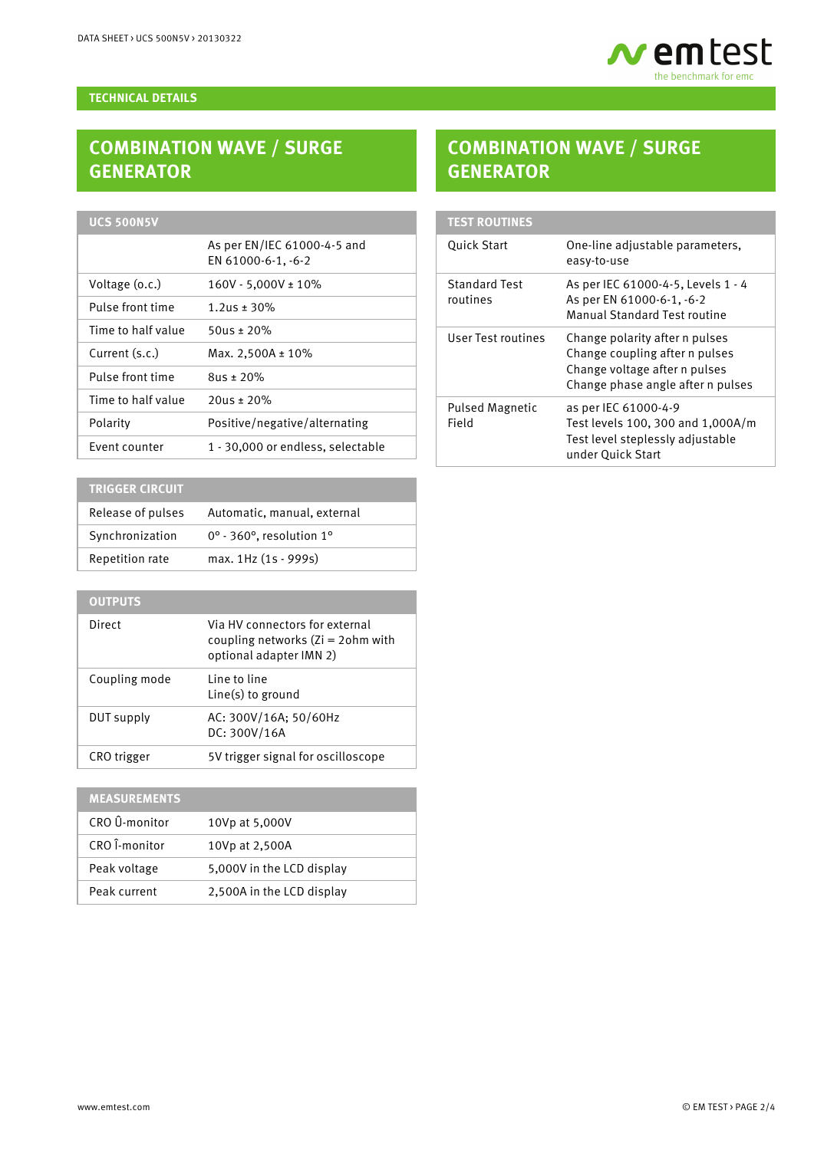

#### **TECHNICAL DETAILS**

# **COMBINATION WAVE / SURGE GENERATOR**

## **UCS 500N5V**

| As per EN/IEC 61000-4-5 and<br>EN 61000-6-1, -6-2 |
|---------------------------------------------------|
| $160V - 5,000V \pm 10\%$                          |
| $1.2$ us ± 30%                                    |
| 50us ± 20%                                        |
| Max. $2,500A \pm 10\%$                            |
| $805 \pm 20\%$                                    |
| $20$ us ± 20%                                     |
| Positive/negative/alternating                     |
| 1 - 30,000 or endless, selectable                 |
|                                                   |

## **TRIGGER CIRCUIT**

| Release of pulses | Automatic, manual, external                      |
|-------------------|--------------------------------------------------|
| Synchronization   | $0^\circ$ - 360 $^\circ$ , resolution 1 $^\circ$ |
| Repetition rate   | max. 1Hz (1s - 999s)                             |

## **OUTPUTS**

| Direct        | Via HV connectors for external<br>coupling networks $(Zi = 20$ hm with<br>optional adapter IMN 2) |
|---------------|---------------------------------------------------------------------------------------------------|
| Coupling mode | Line to line<br>$Line(s)$ to ground                                                               |
| DUT supply    | AC: 300V/16A; 50/60Hz<br>DC: 300V/16A                                                             |
| CRO trigger   | 5V trigger signal for oscilloscope                                                                |

# **MEASUREMENTS** CRO Û-monitor 10Vp at 5,000V CRO Î-monitor 10Vp at 2,500A Peak voltage 5,000V in the LCD display Peak current 2,500A in the LCD display

# **COMBINATION WAVE / SURGE GENERATOR**

| <b>TEST ROUTINES</b>             |                                                                                                                                        |
|----------------------------------|----------------------------------------------------------------------------------------------------------------------------------------|
| <b>Quick Start</b>               | One-line adjustable parameters,<br>easy-to-use                                                                                         |
| <b>Standard Test</b><br>routines | As per IEC 61000-4-5, Levels 1 - 4<br>As per EN 61000-6-1, -6-2<br>Manual Standard Test routine                                        |
| User Test routines               | Change polarity after n pulses<br>Change coupling after n pulses<br>Change voltage after n pulses<br>Change phase angle after n pulses |
| <b>Pulsed Magnetic</b><br>Field  | as per IEC 61000-4-9<br>Test levels 100, 300 and 1,000A/m<br>Test level steplessly adjustable<br>under Ouick Start                     |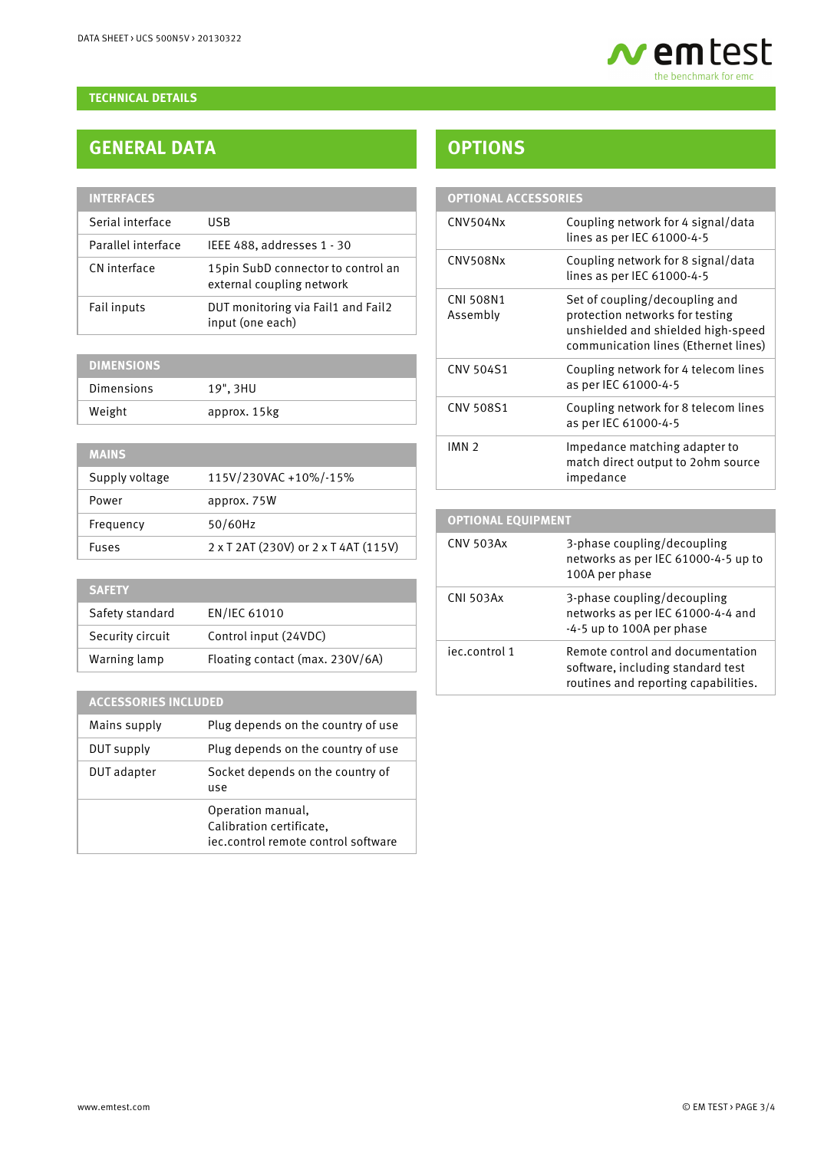

### **TECHNICAL DETAILS**

# **GENERAL DATA**

| <b>INTERFACES</b>  |                                                                  |
|--------------------|------------------------------------------------------------------|
| Serial interface   | <b>USB</b>                                                       |
| Parallel interface | IEEE 488, addresses 1 - 30                                       |
| CN interface       | 15 pin SubD connector to control an<br>external coupling network |
| Fail inputs        | DUT monitoring via Fail1 and Fail2<br>input (one each)           |

## **DIMENSIONS** Dimensions 19", 3HU Weight approx. 15kg

| <b>MAINS</b>   |                                      |
|----------------|--------------------------------------|
| Supply voltage | 115V/230VAC +10%/-15%                |
| Power          | approx. 75W                          |
| Frequency      | 50/60Hz                              |
| <b>Fuses</b>   | 2 x T 2AT (230V) or 2 x T 4AT (115V) |
|                |                                      |

| <b>SAFETY</b>    |                                 |
|------------------|---------------------------------|
| Safety standard  | EN/IEC 61010                    |
| Security circuit | Control input (24VDC)           |
| Warning lamp     | Floating contact (max. 230V/6A) |

### **ACCESSORIES INCLUDED**

| Mains supply | Plug depends on the country of use                                                   |
|--------------|--------------------------------------------------------------------------------------|
| DUT supply   | Plug depends on the country of use                                                   |
| DUT adapter  | Socket depends on the country of<br>use                                              |
|              | Operation manual,<br>Calibration certificate,<br>iec.control remote control software |

# **OPTIONS**

| <b>OPTIONAL ACCESSORIES</b>  |                                                                                                                                                 |
|------------------------------|-------------------------------------------------------------------------------------------------------------------------------------------------|
| CNV504Nx                     | Coupling network for 4 signal/data<br>lines as per IEC 61000-4-5                                                                                |
| <b>CNV508Nx</b>              | Coupling network for 8 signal/data<br>lines as per IEC 61000-4-5                                                                                |
| <b>CNI 508N1</b><br>Assembly | Set of coupling/decoupling and<br>protection networks for testing<br>unshielded and shielded high-speed<br>communication lines (Ethernet lines) |
| <b>CNV 504S1</b>             | Coupling network for 4 telecom lines<br>as per IEC 61000-4-5                                                                                    |
| <b>CNV 508S1</b>             | Coupling network for 8 telecom lines<br>as per IEC 61000-4-5                                                                                    |
| IMN <sub>2</sub>             | Impedance matching adapter to<br>match direct output to 2ohm source<br>impedance                                                                |
| <b>OBTIONAL POLIUDALENT</b>  |                                                                                                                                                 |

### **OPTIONAL EQUIPMENT** CNV 503Ax 3-phase coupling/decoupling networks as per IEC 61000-4-5 up to 100A per phase CNI 503Ax 3-phase coupling/decoupling networks as per IEC 61000-4-4 and -4-5 up to 100A per phase iec.control 1 Remote control and documentation software, including standard test routines and reporting capabilities.